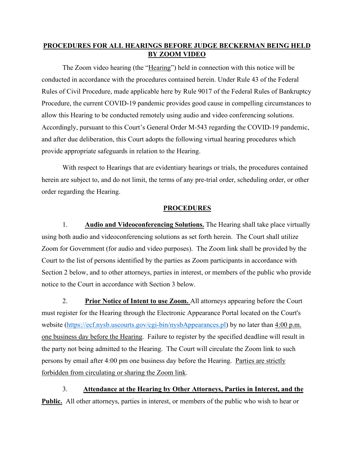## **PROCEDURES FOR ALL HEARINGS BEFORE JUDGE BECKERMAN BEING HELD BY ZOOM VIDEO**

The Zoom video hearing (the "Hearing") held in connection with this notice will be conducted in accordance with the procedures contained herein. Under Rule 43 of the Federal Rules of Civil Procedure, made applicable here by Rule 9017 of the Federal Rules of Bankruptcy Procedure, the current COVID-19 pandemic provides good cause in compelling circumstances to allow this Hearing to be conducted remotely using audio and video conferencing solutions. Accordingly, pursuant to this Court's General Order M-543 regarding the COVID-19 pandemic, and after due deliberation, this Court adopts the following virtual hearing procedures which provide appropriate safeguards in relation to the Hearing.

With respect to Hearings that are evidentiary hearings or trials, the procedures contained herein are subject to, and do not limit, the terms of any pre-trial order, scheduling order, or other order regarding the Hearing.

## **PROCEDURES**

1. **Audio and Videoconferencing Solutions.** The Hearing shall take place virtually using both audio and videoconferencing solutions as set forth herein. The Court shall utilize Zoom for Government (for audio and video purposes). The Zoom link shall be provided by the Court to the list of persons identified by the parties as Zoom participants in accordance with Section 2 below, and to other attorneys, parties in interest, or members of the public who provide notice to the Court in accordance with Section 3 below.

2. **Prior Notice of Intent to use Zoom.** All attorneys appearing before the Court must register for the Hearing through the Electronic Appearance Portal located on the Court's website [\(https://ecf.nysb.uscourts.gov/cgi-bin/nysbAppearances.pl\)](https://ecf.nysb.uscourts.gov/cgi-bin/nysbAppearances.pl) by no later than 4:00 p.m. one business day before the Hearing. Failure to register by the specified deadline will result in the party not being admitted to the Hearing. The Court will circulate the Zoom link to such persons by email after 4:00 pm one business day before the Hearing. Parties are strictly forbidden from circulating or sharing the Zoom link.

3. **Attendance at the Hearing by Other Attorneys, Parties in Interest, and the Public.** All other attorneys, parties in interest, or members of the public who wish to hear or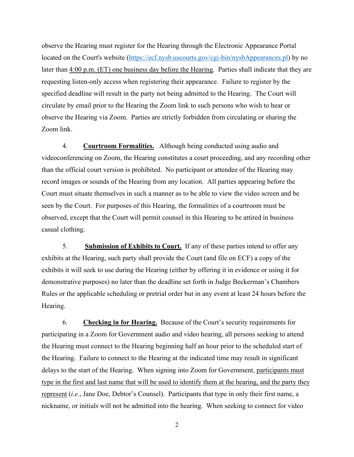observe the Hearing must register for the Hearing through the Electronic Appearance Portal located on the Court's website [\(https://ecf.nysb.uscourts.gov/cgi-bin/nysbAppearances.pl\)](https://ecf.nysb.uscourts.gov/cgi-bin/nysbAppearances.pl) by no later than 4:00 p.m. (ET) one business day before the Hearing. Parties shall indicate that they are requesting listen-only access when registering their appearance. Failure to register by the specified deadline will result in the party not being admitted to the Hearing. The Court will circulate by email prior to the Hearing the Zoom link to such persons who wish to hear or observe the Hearing via Zoom. Parties are strictly forbidden from circulating or sharing the Zoom link.

4. **Courtroom Formalities.** Although being conducted using audio and videoconferencing on Zoom, the Hearing constitutes a court proceeding, and any recording other than the official court version is prohibited. No participant or attendee of the Hearing may record images or sounds of the Hearing from any location. All parties appearing before the Court must situate themselves in such a manner as to be able to view the video screen and be seen by the Court. For purposes of this Hearing, the formalities of a courtroom must be observed, except that the Court will permit counsel in this Hearing to be attired in business casual clothing.

5. **Submission of Exhibits to Court.** If any of these parties intend to offer any exhibits at the Hearing, such party shall provide the Court (and file on ECF) a copy of the exhibits it will seek to use during the Hearing (either by offering it in evidence or using it for demonstrative purposes) no later than the deadline set forth in Judge Beckerman's Chambers Rules or the applicable scheduling or pretrial order but in any event at least 24 hours before the Hearing.

6. **Checking in for Hearing.** Because of the Court's security requirements for participating in a Zoom for Government audio and video hearing, all persons seeking to attend the Hearing must connect to the Hearing beginning half an hour prior to the scheduled start of the Hearing. Failure to connect to the Hearing at the indicated time may result in significant delays to the start of the Hearing. When signing into Zoom for Government, participants must type in the first and last name that will be used to identify them at the hearing, and the party they represent (*i.e.*, Jane Doe, Debtor's Counsel). Participants that type in only their first name, a nickname, or initials will not be admitted into the hearing. When seeking to connect for video

2